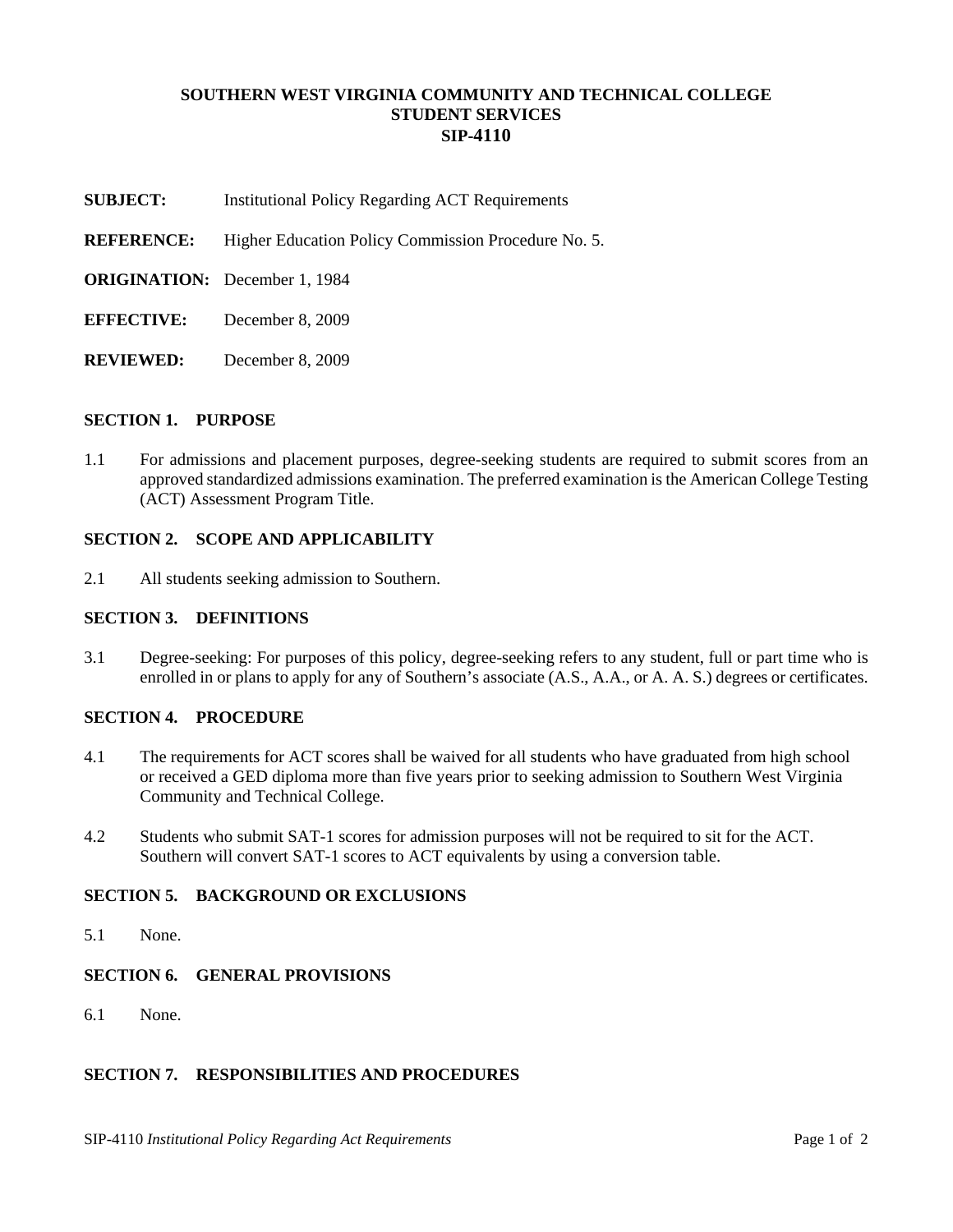# **SOUTHERN WEST VIRGINIA COMMUNITY AND TECHNICAL COLLEGE STUDENT SERVICES SIP-4110**

- **SUBJECT:** Institutional Policy Regarding ACT Requirements
- **REFERENCE:** Higher Education Policy Commission Procedure No. 5.
- **ORIGINATION:** December 1, 1984
- **EFFECTIVE:** December 8, 2009
- **REVIEWED:** December 8, 2009

#### **SECTION 1. PURPOSE**

1.1 For admissions and placement purposes, degree-seeking students are required to submit scores from an approved standardized admissions examination. The preferred examination is the American College Testing (ACT) Assessment Program Title.

### **SECTION 2. SCOPE AND APPLICABILITY**

2.1 All students seeking admission to Southern.

# **SECTION 3. DEFINITIONS**

3.1 Degree-seeking: For purposes of this policy, degree-seeking refers to any student, full or part time who is enrolled in or plans to apply for any of Southern's associate  $(A.S., A.A., or A.A.S.)$  degrees or certificates.

### **SECTION 4. PROCEDURE**

- 4.1 The requirements for ACT scores shall be waived for all students who have graduated from high school or received a GED diploma more than five years prior to seeking admission to Southern West Virginia Community and Technical College.
- 4.2 Students who submit SAT-1 scores for admission purposes will not be required to sit for the ACT. Southern will convert SAT-1 scores to ACT equivalents by using a conversion table.

# **SECTION 5. BACKGROUND OR EXCLUSIONS**

5.1 None.

### **SECTION 6. GENERAL PROVISIONS**

6.1 None.

### **SECTION 7. RESPONSIBILITIES AND PROCEDURES**